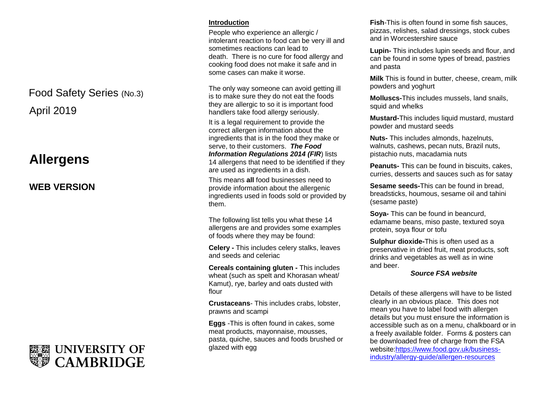# April 2019 Food Safety Series (No.3)

# **Allergens**

# **WEB VERSION**



### **Introduction**

People who experience an allergic / intolerant reaction to food can be very ill and sometimes reactions can lead to death. There is no cure for food allergy and cooking food does not make it safe and in some cases can make it worse.

The only way someone can avoid getting ill is to make sure they do not eat the foods they are allergic to so it is important food handlers take food allergy seriously.

It is a legal requirement to provide the correct allergen information about the ingredients that is in the food they make or serve, to their customers. *The Food Information Regulations 2014 (FIR)* lists 14 allergens that need to be identified if they are used as ingredients in a dish.

This means **all** food businesses need to provide information about the allergenic ingredients used in foods sold or provided by them.

The following list tells you what these 14 allergens are and provides some examples of foods where they may be found:

**Celery -** This includes celery stalks, leaves and seeds and celeriac

**Cereals containing gluten -** This includes wheat (such as spelt and Khorasan wheat/ Kamut), rye, barley and oats dusted with flour

**Crustaceans**- This includes crabs, lobster, prawns and scampi

**Eggs** -This is often found in cakes, some meat products, mayonnaise, mousses, pasta, quiche, sauces and foods brushed or glazed with egg

**Fish**-This is often found in some fish sauces, pizzas, relishes, salad dressings, stock cubes and in Worcestershire sauce

**Lupin-** This includes lupin seeds and flour, and can be found in some types of bread, pastries and pasta

**Milk** This is found in butter, cheese, cream, milk powders and yoghurt

**Molluscs-**This includes mussels, land snails, squid and whelks

**Mustard-**This includes liquid mustard, mustard powder and mustard seeds

**Nuts-** This includes almonds, hazelnuts, walnuts, cashews, pecan nuts, Brazil nuts, pistachio nuts, macadamia nuts

**Peanuts-** This can be found in biscuits, cakes, curries, desserts and sauces such as for satay

**Sesame seeds-**This can be found in bread, breadsticks, houmous, sesame oil and tahini (sesame paste)

**Soya-** This can be found in beancurd, edamame beans, miso paste, textured soya protein, soya flour or tofu

**Sulphur dioxide-**This is often used as a preservative in dried fruit, meat products, soft drinks and vegetables as well as in wine and beer.

#### *Source FSA website*

Details of these allergens will have to be listed clearly in an obvious place. This does not mean you have to label food with allergen details but you must ensure the information is accessible such as on a menu, chalkboard or in a freely available folder. Forms & posters can be downloaded free of charge from the FSA websit[e:https://www.food.gov.uk/business](https://www.food.gov.uk/business-industry/allergy-guide/allergen-resources)[industry/allergy-guide/allergen-resources](https://www.food.gov.uk/business-industry/allergy-guide/allergen-resources)